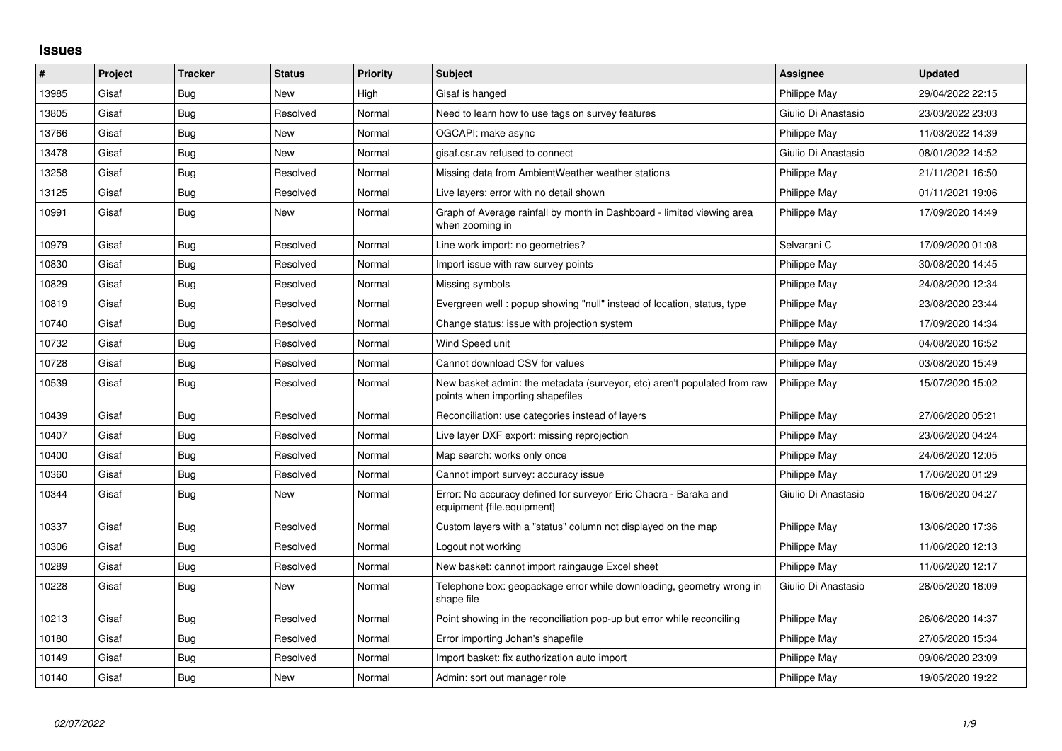## **Issues**

| #     | Project | <b>Tracker</b> | <b>Status</b> | <b>Priority</b> | <b>Subject</b>                                                                                               | <b>Assignee</b>     | <b>Updated</b>   |
|-------|---------|----------------|---------------|-----------------|--------------------------------------------------------------------------------------------------------------|---------------------|------------------|
| 13985 | Gisaf   | Bug            | <b>New</b>    | High            | Gisaf is hanged                                                                                              | Philippe May        | 29/04/2022 22:15 |
| 13805 | Gisaf   | Bug            | Resolved      | Normal          | Need to learn how to use tags on survey features                                                             | Giulio Di Anastasio | 23/03/2022 23:03 |
| 13766 | Gisaf   | <b>Bug</b>     | <b>New</b>    | Normal          | OGCAPI: make async                                                                                           | Philippe May        | 11/03/2022 14:39 |
| 13478 | Gisaf   | Bug            | <b>New</b>    | Normal          | gisaf.csr.av refused to connect                                                                              | Giulio Di Anastasio | 08/01/2022 14:52 |
| 13258 | Gisaf   | <b>Bug</b>     | Resolved      | Normal          | Missing data from AmbientWeather weather stations                                                            | Philippe May        | 21/11/2021 16:50 |
| 13125 | Gisaf   | Bug            | Resolved      | Normal          | Live layers: error with no detail shown                                                                      | Philippe May        | 01/11/2021 19:06 |
| 10991 | Gisaf   | Bug            | <b>New</b>    | Normal          | Graph of Average rainfall by month in Dashboard - limited viewing area<br>when zooming in                    | Philippe May        | 17/09/2020 14:49 |
| 10979 | Gisaf   | Bug            | Resolved      | Normal          | Line work import: no geometries?                                                                             | Selvarani C         | 17/09/2020 01:08 |
| 10830 | Gisaf   | <b>Bug</b>     | Resolved      | Normal          | Import issue with raw survey points                                                                          | Philippe May        | 30/08/2020 14:45 |
| 10829 | Gisaf   | Bug            | Resolved      | Normal          | Missing symbols                                                                                              | Philippe May        | 24/08/2020 12:34 |
| 10819 | Gisaf   | Bug            | Resolved      | Normal          | Evergreen well: popup showing "null" instead of location, status, type                                       | Philippe May        | 23/08/2020 23:44 |
| 10740 | Gisaf   | Bug            | Resolved      | Normal          | Change status: issue with projection system                                                                  | Philippe May        | 17/09/2020 14:34 |
| 10732 | Gisaf   | Bug            | Resolved      | Normal          | Wind Speed unit                                                                                              | Philippe May        | 04/08/2020 16:52 |
| 10728 | Gisaf   | Bug            | Resolved      | Normal          | Cannot download CSV for values                                                                               | Philippe May        | 03/08/2020 15:49 |
| 10539 | Gisaf   | Bug            | Resolved      | Normal          | New basket admin: the metadata (surveyor, etc) aren't populated from raw<br>points when importing shapefiles | Philippe May        | 15/07/2020 15:02 |
| 10439 | Gisaf   | Bug            | Resolved      | Normal          | Reconciliation: use categories instead of layers                                                             | Philippe May        | 27/06/2020 05:21 |
| 10407 | Gisaf   | Bug            | Resolved      | Normal          | Live layer DXF export: missing reprojection                                                                  | Philippe May        | 23/06/2020 04:24 |
| 10400 | Gisaf   | Bug            | Resolved      | Normal          | Map search: works only once                                                                                  | Philippe May        | 24/06/2020 12:05 |
| 10360 | Gisaf   | Bug            | Resolved      | Normal          | Cannot import survey: accuracy issue                                                                         | Philippe May        | 17/06/2020 01:29 |
| 10344 | Gisaf   | <b>Bug</b>     | New           | Normal          | Error: No accuracy defined for surveyor Eric Chacra - Baraka and<br>equipment {file.equipment}               | Giulio Di Anastasio | 16/06/2020 04:27 |
| 10337 | Gisaf   | Bug            | Resolved      | Normal          | Custom layers with a "status" column not displayed on the map                                                | Philippe May        | 13/06/2020 17:36 |
| 10306 | Gisaf   | Bug            | Resolved      | Normal          | Logout not working                                                                                           | Philippe May        | 11/06/2020 12:13 |
| 10289 | Gisaf   | Bug            | Resolved      | Normal          | New basket: cannot import raingauge Excel sheet                                                              | Philippe May        | 11/06/2020 12:17 |
| 10228 | Gisaf   | Bug            | <b>New</b>    | Normal          | Telephone box: geopackage error while downloading, geometry wrong in<br>shape file                           | Giulio Di Anastasio | 28/05/2020 18:09 |
| 10213 | Gisaf   | Bug            | Resolved      | Normal          | Point showing in the reconciliation pop-up but error while reconciling                                       | Philippe May        | 26/06/2020 14:37 |
| 10180 | Gisaf   | Bug            | Resolved      | Normal          | Error importing Johan's shapefile                                                                            | Philippe May        | 27/05/2020 15:34 |
| 10149 | Gisaf   | Bug            | Resolved      | Normal          | Import basket: fix authorization auto import                                                                 | Philippe May        | 09/06/2020 23:09 |
| 10140 | Gisaf   | <b>Bug</b>     | <b>New</b>    | Normal          | Admin: sort out manager role                                                                                 | Philippe May        | 19/05/2020 19:22 |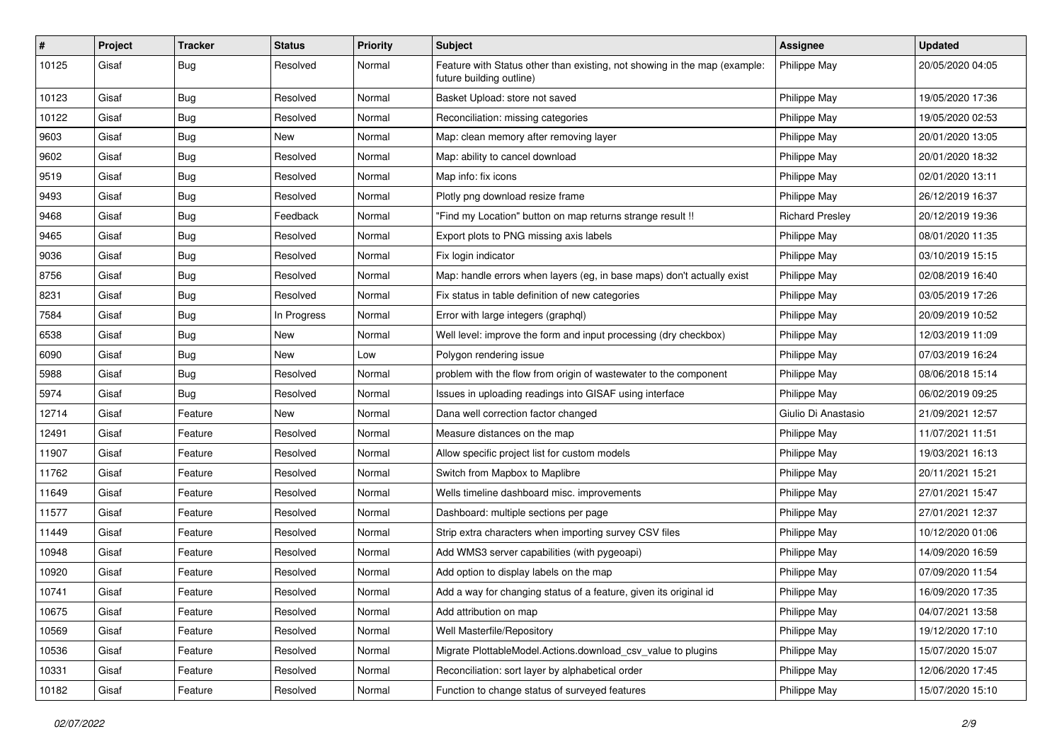| #     | Project | <b>Tracker</b> | <b>Status</b> | <b>Priority</b> | Subject                                                                                               | <b>Assignee</b>        | <b>Updated</b>   |
|-------|---------|----------------|---------------|-----------------|-------------------------------------------------------------------------------------------------------|------------------------|------------------|
| 10125 | Gisaf   | <b>Bug</b>     | Resolved      | Normal          | Feature with Status other than existing, not showing in the map (example:<br>future building outline) | <b>Philippe May</b>    | 20/05/2020 04:05 |
| 10123 | Gisaf   | Bug            | Resolved      | Normal          | Basket Upload: store not saved                                                                        | Philippe May           | 19/05/2020 17:36 |
| 10122 | Gisaf   | <b>Bug</b>     | Resolved      | Normal          | Reconciliation: missing categories                                                                    | Philippe May           | 19/05/2020 02:53 |
| 9603  | Gisaf   | Bug            | New           | Normal          | Map: clean memory after removing layer                                                                | Philippe May           | 20/01/2020 13:05 |
| 9602  | Gisaf   | <b>Bug</b>     | Resolved      | Normal          | Map: ability to cancel download                                                                       | Philippe May           | 20/01/2020 18:32 |
| 9519  | Gisaf   | <b>Bug</b>     | Resolved      | Normal          | Map info: fix icons                                                                                   | Philippe May           | 02/01/2020 13:11 |
| 9493  | Gisaf   | Bug            | Resolved      | Normal          | Plotly png download resize frame                                                                      | Philippe May           | 26/12/2019 16:37 |
| 9468  | Gisaf   | <b>Bug</b>     | Feedback      | Normal          | "Find my Location" button on map returns strange result !!                                            | <b>Richard Preslev</b> | 20/12/2019 19:36 |
| 9465  | Gisaf   | <b>Bug</b>     | Resolved      | Normal          | Export plots to PNG missing axis labels                                                               | Philippe May           | 08/01/2020 11:35 |
| 9036  | Gisaf   | <b>Bug</b>     | Resolved      | Normal          | Fix login indicator                                                                                   | Philippe May           | 03/10/2019 15:15 |
| 8756  | Gisaf   | Bug            | Resolved      | Normal          | Map: handle errors when layers (eg, in base maps) don't actually exist                                | Philippe May           | 02/08/2019 16:40 |
| 8231  | Gisaf   | Bug            | Resolved      | Normal          | Fix status in table definition of new categories                                                      | Philippe May           | 03/05/2019 17:26 |
| 7584  | Gisaf   | <b>Bug</b>     | In Progress   | Normal          | Error with large integers (graphql)                                                                   | Philippe May           | 20/09/2019 10:52 |
| 6538  | Gisaf   | <b>Bug</b>     | New           | Normal          | Well level: improve the form and input processing (dry checkbox)                                      | Philippe May           | 12/03/2019 11:09 |
| 6090  | Gisaf   | <b>Bug</b>     | New           | Low             | Polygon rendering issue                                                                               | Philippe May           | 07/03/2019 16:24 |
| 5988  | Gisaf   | <b>Bug</b>     | Resolved      | Normal          | problem with the flow from origin of wastewater to the component                                      | Philippe May           | 08/06/2018 15:14 |
| 5974  | Gisaf   | <b>Bug</b>     | Resolved      | Normal          | Issues in uploading readings into GISAF using interface                                               | Philippe May           | 06/02/2019 09:25 |
| 12714 | Gisaf   | Feature        | New           | Normal          | Dana well correction factor changed                                                                   | Giulio Di Anastasio    | 21/09/2021 12:57 |
| 12491 | Gisaf   | Feature        | Resolved      | Normal          | Measure distances on the map                                                                          | Philippe May           | 11/07/2021 11:51 |
| 11907 | Gisaf   | Feature        | Resolved      | Normal          | Allow specific project list for custom models                                                         | Philippe May           | 19/03/2021 16:13 |
| 11762 | Gisaf   | Feature        | Resolved      | Normal          | Switch from Mapbox to Maplibre                                                                        | Philippe May           | 20/11/2021 15:21 |
| 11649 | Gisaf   | Feature        | Resolved      | Normal          | Wells timeline dashboard misc. improvements                                                           | Philippe May           | 27/01/2021 15:47 |
| 11577 | Gisaf   | Feature        | Resolved      | Normal          | Dashboard: multiple sections per page                                                                 | Philippe May           | 27/01/2021 12:37 |
| 11449 | Gisaf   | Feature        | Resolved      | Normal          | Strip extra characters when importing survey CSV files                                                | Philippe May           | 10/12/2020 01:06 |
| 10948 | Gisaf   | Feature        | Resolved      | Normal          | Add WMS3 server capabilities (with pygeoapi)                                                          | Philippe May           | 14/09/2020 16:59 |
| 10920 | Gisaf   | Feature        | Resolved      | Normal          | Add option to display labels on the map                                                               | Philippe May           | 07/09/2020 11:54 |
| 10741 | Gisaf   | Feature        | Resolved      | Normal          | Add a way for changing status of a feature, given its original id                                     | Philippe May           | 16/09/2020 17:35 |
| 10675 | Gisaf   | Feature        | Resolved      | Normal          | Add attribution on map                                                                                | Philippe May           | 04/07/2021 13:58 |
| 10569 | Gisaf   | Feature        | Resolved      | Normal          | Well Masterfile/Repository                                                                            | Philippe May           | 19/12/2020 17:10 |
| 10536 | Gisaf   | Feature        | Resolved      | Normal          | Migrate PlottableModel.Actions.download_csv_value to plugins                                          | Philippe May           | 15/07/2020 15:07 |
| 10331 | Gisaf   | Feature        | Resolved      | Normal          | Reconciliation: sort layer by alphabetical order                                                      | Philippe May           | 12/06/2020 17:45 |
| 10182 | Gisaf   | Feature        | Resolved      | Normal          | Function to change status of surveyed features                                                        | Philippe May           | 15/07/2020 15:10 |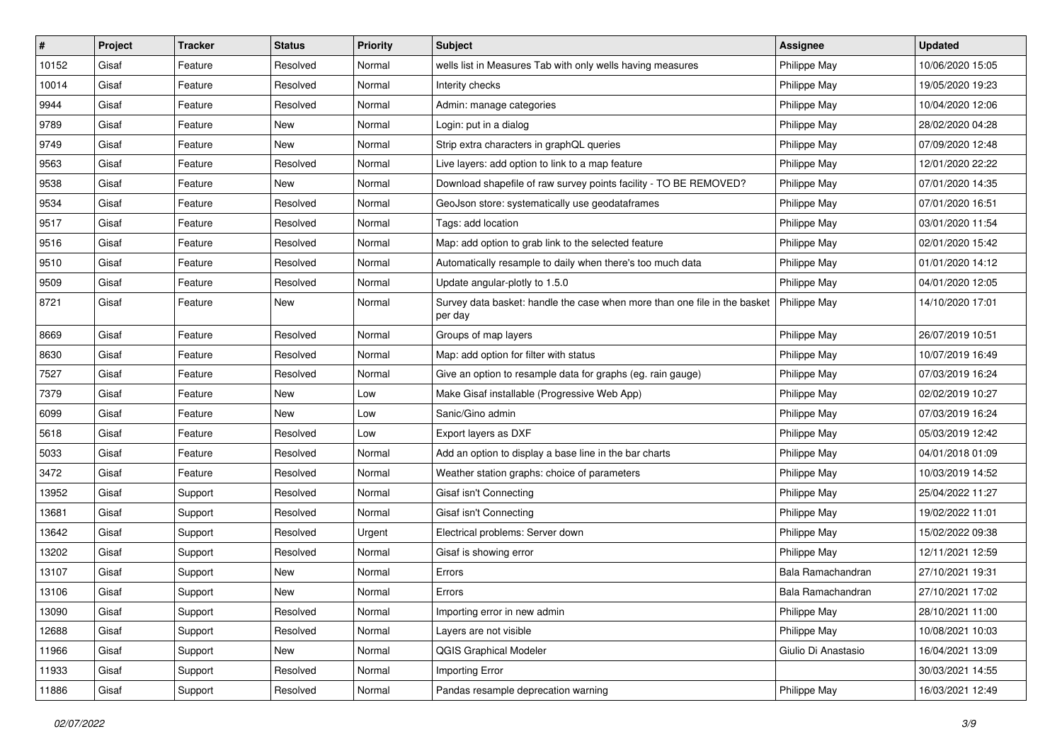| $\vert$ # | Project | <b>Tracker</b> | <b>Status</b> | <b>Priority</b> | <b>Subject</b>                                                                       | <b>Assignee</b>     | <b>Updated</b>   |
|-----------|---------|----------------|---------------|-----------------|--------------------------------------------------------------------------------------|---------------------|------------------|
| 10152     | Gisaf   | Feature        | Resolved      | Normal          | wells list in Measures Tab with only wells having measures                           | Philippe May        | 10/06/2020 15:05 |
| 10014     | Gisaf   | Feature        | Resolved      | Normal          | Interity checks                                                                      | Philippe May        | 19/05/2020 19:23 |
| 9944      | Gisaf   | Feature        | Resolved      | Normal          | Admin: manage categories                                                             | Philippe May        | 10/04/2020 12:06 |
| 9789      | Gisaf   | Feature        | New           | Normal          | Login: put in a dialog                                                               | Philippe May        | 28/02/2020 04:28 |
| 9749      | Gisaf   | Feature        | New           | Normal          | Strip extra characters in graphQL queries                                            | Philippe May        | 07/09/2020 12:48 |
| 9563      | Gisaf   | Feature        | Resolved      | Normal          | Live layers: add option to link to a map feature                                     | Philippe May        | 12/01/2020 22:22 |
| 9538      | Gisaf   | Feature        | New           | Normal          | Download shapefile of raw survey points facility - TO BE REMOVED?                    | Philippe May        | 07/01/2020 14:35 |
| 9534      | Gisaf   | Feature        | Resolved      | Normal          | GeoJson store: systematically use geodataframes                                      | Philippe May        | 07/01/2020 16:51 |
| 9517      | Gisaf   | Feature        | Resolved      | Normal          | Tags: add location                                                                   | Philippe May        | 03/01/2020 11:54 |
| 9516      | Gisaf   | Feature        | Resolved      | Normal          | Map: add option to grab link to the selected feature                                 | Philippe May        | 02/01/2020 15:42 |
| 9510      | Gisaf   | Feature        | Resolved      | Normal          | Automatically resample to daily when there's too much data                           | Philippe May        | 01/01/2020 14:12 |
| 9509      | Gisaf   | Feature        | Resolved      | Normal          | Update angular-plotly to 1.5.0                                                       | Philippe May        | 04/01/2020 12:05 |
| 8721      | Gisaf   | Feature        | New           | Normal          | Survey data basket: handle the case when more than one file in the basket<br>per day | Philippe May        | 14/10/2020 17:01 |
| 8669      | Gisaf   | Feature        | Resolved      | Normal          | Groups of map layers                                                                 | Philippe May        | 26/07/2019 10:51 |
| 8630      | Gisaf   | Feature        | Resolved      | Normal          | Map: add option for filter with status                                               | Philippe May        | 10/07/2019 16:49 |
| 7527      | Gisaf   | Feature        | Resolved      | Normal          | Give an option to resample data for graphs (eg. rain gauge)                          | Philippe May        | 07/03/2019 16:24 |
| 7379      | Gisaf   | Feature        | New           | Low             | Make Gisaf installable (Progressive Web App)                                         | Philippe May        | 02/02/2019 10:27 |
| 6099      | Gisaf   | Feature        | New           | Low             | Sanic/Gino admin                                                                     | Philippe May        | 07/03/2019 16:24 |
| 5618      | Gisaf   | Feature        | Resolved      | Low             | Export layers as DXF                                                                 | Philippe May        | 05/03/2019 12:42 |
| 5033      | Gisaf   | Feature        | Resolved      | Normal          | Add an option to display a base line in the bar charts                               | Philippe May        | 04/01/2018 01:09 |
| 3472      | Gisaf   | Feature        | Resolved      | Normal          | Weather station graphs: choice of parameters                                         | Philippe May        | 10/03/2019 14:52 |
| 13952     | Gisaf   | Support        | Resolved      | Normal          | Gisaf isn't Connecting                                                               | Philippe May        | 25/04/2022 11:27 |
| 13681     | Gisaf   | Support        | Resolved      | Normal          | Gisaf isn't Connecting                                                               | Philippe May        | 19/02/2022 11:01 |
| 13642     | Gisaf   | Support        | Resolved      | Urgent          | Electrical problems: Server down                                                     | Philippe May        | 15/02/2022 09:38 |
| 13202     | Gisaf   | Support        | Resolved      | Normal          | Gisaf is showing error                                                               | Philippe May        | 12/11/2021 12:59 |
| 13107     | Gisaf   | Support        | New           | Normal          | Errors                                                                               | Bala Ramachandran   | 27/10/2021 19:31 |
| 13106     | Gisaf   | Support        | New           | Normal          | Errors                                                                               | Bala Ramachandran   | 27/10/2021 17:02 |
| 13090     | Gisaf   | Support        | Resolved      | Normal          | Importing error in new admin                                                         | Philippe May        | 28/10/2021 11:00 |
| 12688     | Gisaf   | Support        | Resolved      | Normal          | Layers are not visible                                                               | Philippe May        | 10/08/2021 10:03 |
| 11966     | Gisaf   | Support        | New           | Normal          | QGIS Graphical Modeler                                                               | Giulio Di Anastasio | 16/04/2021 13:09 |
| 11933     | Gisaf   | Support        | Resolved      | Normal          | Importing Error                                                                      |                     | 30/03/2021 14:55 |
| 11886     | Gisaf   | Support        | Resolved      | Normal          | Pandas resample deprecation warning                                                  | Philippe May        | 16/03/2021 12:49 |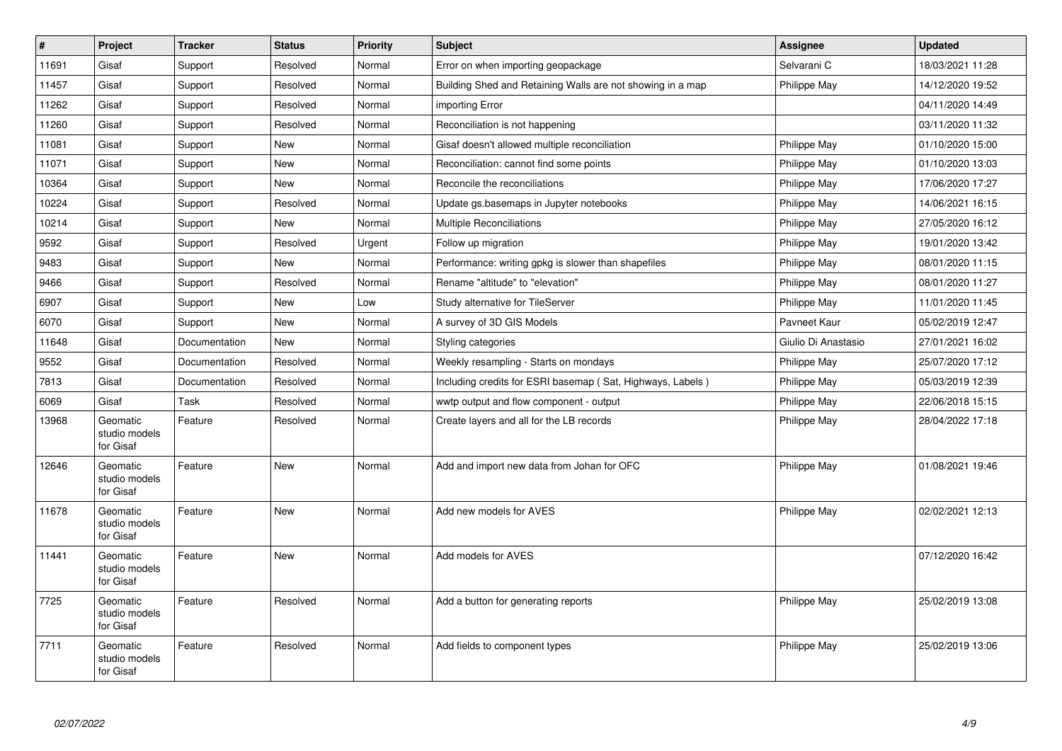| $\vert$ # | Project                                | <b>Tracker</b> | <b>Status</b> | <b>Priority</b> | <b>Subject</b>                                             | Assignee            | <b>Updated</b>   |
|-----------|----------------------------------------|----------------|---------------|-----------------|------------------------------------------------------------|---------------------|------------------|
| 11691     | Gisaf                                  | Support        | Resolved      | Normal          | Error on when importing geopackage                         | Selvarani C         | 18/03/2021 11:28 |
| 11457     | Gisaf                                  | Support        | Resolved      | Normal          | Building Shed and Retaining Walls are not showing in a map | Philippe May        | 14/12/2020 19:52 |
| 11262     | Gisaf                                  | Support        | Resolved      | Normal          | importing Error                                            |                     | 04/11/2020 14:49 |
| 11260     | Gisaf                                  | Support        | Resolved      | Normal          | Reconciliation is not happening                            |                     | 03/11/2020 11:32 |
| 11081     | Gisaf                                  | Support        | <b>New</b>    | Normal          | Gisaf doesn't allowed multiple reconciliation              | Philippe May        | 01/10/2020 15:00 |
| 11071     | Gisaf                                  | Support        | New           | Normal          | Reconciliation: cannot find some points                    | Philippe May        | 01/10/2020 13:03 |
| 10364     | Gisaf                                  | Support        | <b>New</b>    | Normal          | Reconcile the reconciliations                              | Philippe May        | 17/06/2020 17:27 |
| 10224     | Gisaf                                  | Support        | Resolved      | Normal          | Update gs.basemaps in Jupyter notebooks                    | Philippe May        | 14/06/2021 16:15 |
| 10214     | Gisaf                                  | Support        | <b>New</b>    | Normal          | <b>Multiple Reconciliations</b>                            | Philippe May        | 27/05/2020 16:12 |
| 9592      | Gisaf                                  | Support        | Resolved      | Urgent          | Follow up migration                                        | Philippe May        | 19/01/2020 13:42 |
| 9483      | Gisaf                                  | Support        | <b>New</b>    | Normal          | Performance: writing gpkg is slower than shapefiles        | Philippe May        | 08/01/2020 11:15 |
| 9466      | Gisaf                                  | Support        | Resolved      | Normal          | Rename "altitude" to "elevation"                           | Philippe May        | 08/01/2020 11:27 |
| 6907      | Gisaf                                  | Support        | <b>New</b>    | Low             | Study alternative for TileServer                           | Philippe May        | 11/01/2020 11:45 |
| 6070      | Gisaf                                  | Support        | <b>New</b>    | Normal          | A survey of 3D GIS Models                                  | Pavneet Kaur        | 05/02/2019 12:47 |
| 11648     | Gisaf                                  | Documentation  | <b>New</b>    | Normal          | Styling categories                                         | Giulio Di Anastasio | 27/01/2021 16:02 |
| 9552      | Gisaf                                  | Documentation  | Resolved      | Normal          | Weekly resampling - Starts on mondays                      | Philippe May        | 25/07/2020 17:12 |
| 7813      | Gisaf                                  | Documentation  | Resolved      | Normal          | Including credits for ESRI basemap (Sat, Highways, Labels) | Philippe May        | 05/03/2019 12:39 |
| 6069      | Gisaf                                  | Task           | Resolved      | Normal          | wwtp output and flow component - output                    | Philippe May        | 22/06/2018 15:15 |
| 13968     | Geomatic<br>studio models<br>for Gisaf | Feature        | Resolved      | Normal          | Create layers and all for the LB records                   | Philippe May        | 28/04/2022 17:18 |
| 12646     | Geomatic<br>studio models<br>for Gisaf | Feature        | New           | Normal          | Add and import new data from Johan for OFC                 | Philippe May        | 01/08/2021 19:46 |
| 11678     | Geomatic<br>studio models<br>for Gisaf | Feature        | New           | Normal          | Add new models for AVES                                    | Philippe May        | 02/02/2021 12:13 |
| 11441     | Geomatic<br>studio models<br>for Gisaf | Feature        | New           | Normal          | Add models for AVES                                        |                     | 07/12/2020 16:42 |
| 7725      | Geomatic<br>studio models<br>for Gisaf | Feature        | Resolved      | Normal          | Add a button for generating reports                        | Philippe May        | 25/02/2019 13:08 |
| 7711      | Geomatic<br>studio models<br>for Gisaf | Feature        | Resolved      | Normal          | Add fields to component types                              | Philippe May        | 25/02/2019 13:06 |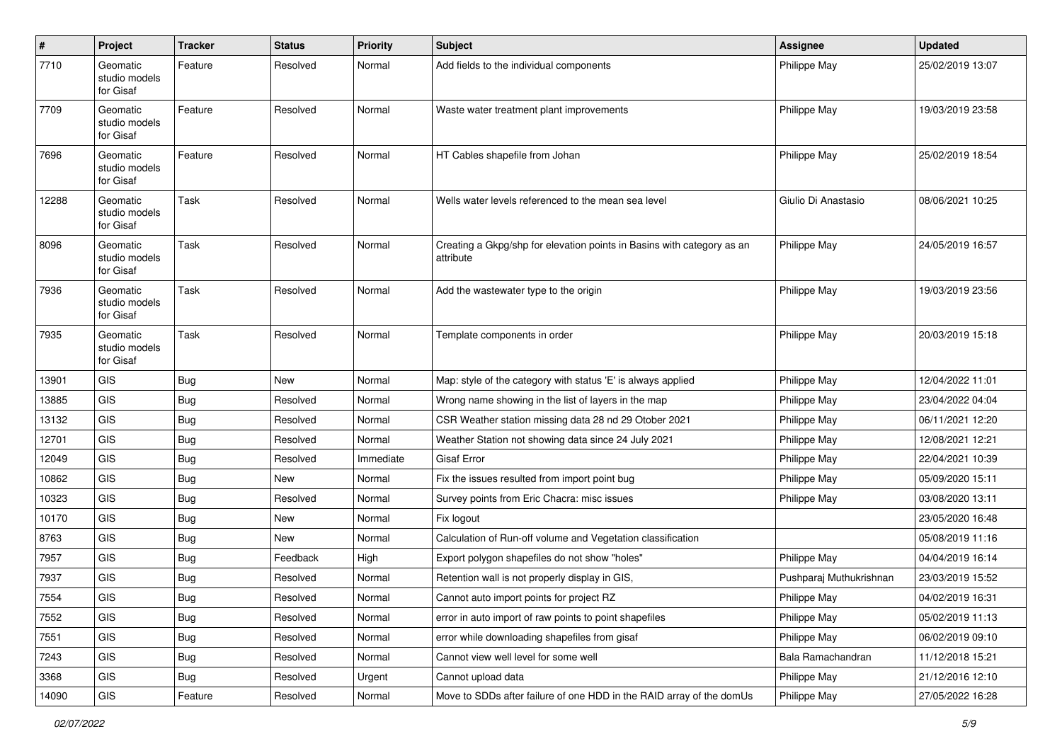| $\pmb{\sharp}$ | Project                                | <b>Tracker</b> | <b>Status</b> | <b>Priority</b> | <b>Subject</b>                                                                      | Assignee                | <b>Updated</b>   |
|----------------|----------------------------------------|----------------|---------------|-----------------|-------------------------------------------------------------------------------------|-------------------------|------------------|
| 7710           | Geomatic<br>studio models<br>for Gisaf | Feature        | Resolved      | Normal          | Add fields to the individual components                                             | Philippe May            | 25/02/2019 13:07 |
| 7709           | Geomatic<br>studio models<br>for Gisaf | Feature        | Resolved      | Normal          | Waste water treatment plant improvements                                            | Philippe May            | 19/03/2019 23:58 |
| 7696           | Geomatic<br>studio models<br>for Gisaf | Feature        | Resolved      | Normal          | HT Cables shapefile from Johan                                                      | Philippe May            | 25/02/2019 18:54 |
| 12288          | Geomatic<br>studio models<br>for Gisaf | Task           | Resolved      | Normal          | Wells water levels referenced to the mean sea level                                 | Giulio Di Anastasio     | 08/06/2021 10:25 |
| 8096           | Geomatic<br>studio models<br>for Gisaf | Task           | Resolved      | Normal          | Creating a Gkpg/shp for elevation points in Basins with category as an<br>attribute | Philippe May            | 24/05/2019 16:57 |
| 7936           | Geomatic<br>studio models<br>for Gisaf | Task           | Resolved      | Normal          | Add the wastewater type to the origin                                               | Philippe May            | 19/03/2019 23:56 |
| 7935           | Geomatic<br>studio models<br>for Gisaf | Task           | Resolved      | Normal          | Template components in order                                                        | Philippe May            | 20/03/2019 15:18 |
| 13901          | <b>GIS</b>                             | Bug            | New           | Normal          | Map: style of the category with status 'E' is always applied                        | Philippe May            | 12/04/2022 11:01 |
| 13885          | <b>GIS</b>                             | Bug            | Resolved      | Normal          | Wrong name showing in the list of layers in the map                                 | Philippe May            | 23/04/2022 04:04 |
| 13132          | <b>GIS</b>                             | <b>Bug</b>     | Resolved      | Normal          | CSR Weather station missing data 28 nd 29 Otober 2021                               | Philippe May            | 06/11/2021 12:20 |
| 12701          | <b>GIS</b>                             | <b>Bug</b>     | Resolved      | Normal          | Weather Station not showing data since 24 July 2021                                 | Philippe May            | 12/08/2021 12:21 |
| 12049          | GIS                                    | <b>Bug</b>     | Resolved      | Immediate       | <b>Gisaf Error</b>                                                                  | Philippe May            | 22/04/2021 10:39 |
| 10862          | <b>GIS</b>                             | <b>Bug</b>     | <b>New</b>    | Normal          | Fix the issues resulted from import point bug                                       | Philippe May            | 05/09/2020 15:11 |
| 10323          | <b>GIS</b>                             | <b>Bug</b>     | Resolved      | Normal          | Survey points from Eric Chacra: misc issues                                         | Philippe May            | 03/08/2020 13:11 |
| 10170          | GIS                                    | Bug            | New           | Normal          | Fix logout                                                                          |                         | 23/05/2020 16:48 |
| 8763           | GIS                                    | <b>Bug</b>     | New           | Normal          | Calculation of Run-off volume and Vegetation classification                         |                         | 05/08/2019 11:16 |
| 7957           | <b>GIS</b>                             | <b>Bug</b>     | Feedback      | High            | Export polygon shapefiles do not show "holes"                                       | Philippe May            | 04/04/2019 16:14 |
| 7937           | GIS                                    | Bug            | Resolved      | Normal          | Retention wall is not properly display in GIS,                                      | Pushparaj Muthukrishnan | 23/03/2019 15:52 |
| 7554           | GIS                                    | Bug            | Resolved      | Normal          | Cannot auto import points for project RZ                                            | Philippe May            | 04/02/2019 16:31 |
| 7552           | <b>GIS</b>                             | Bug            | Resolved      | Normal          | error in auto import of raw points to point shapefiles                              | Philippe May            | 05/02/2019 11:13 |
| 7551           | GIS                                    | <b>Bug</b>     | Resolved      | Normal          | error while downloading shapefiles from gisaf                                       | Philippe May            | 06/02/2019 09:10 |
| 7243           | GIS                                    | <b>Bug</b>     | Resolved      | Normal          | Cannot view well level for some well                                                | Bala Ramachandran       | 11/12/2018 15:21 |
| 3368           | GIS                                    | <b>Bug</b>     | Resolved      | Urgent          | Cannot upload data                                                                  | Philippe May            | 21/12/2016 12:10 |
| 14090          | GIS                                    | Feature        | Resolved      | Normal          | Move to SDDs after failure of one HDD in the RAID array of the domUs                | Philippe May            | 27/05/2022 16:28 |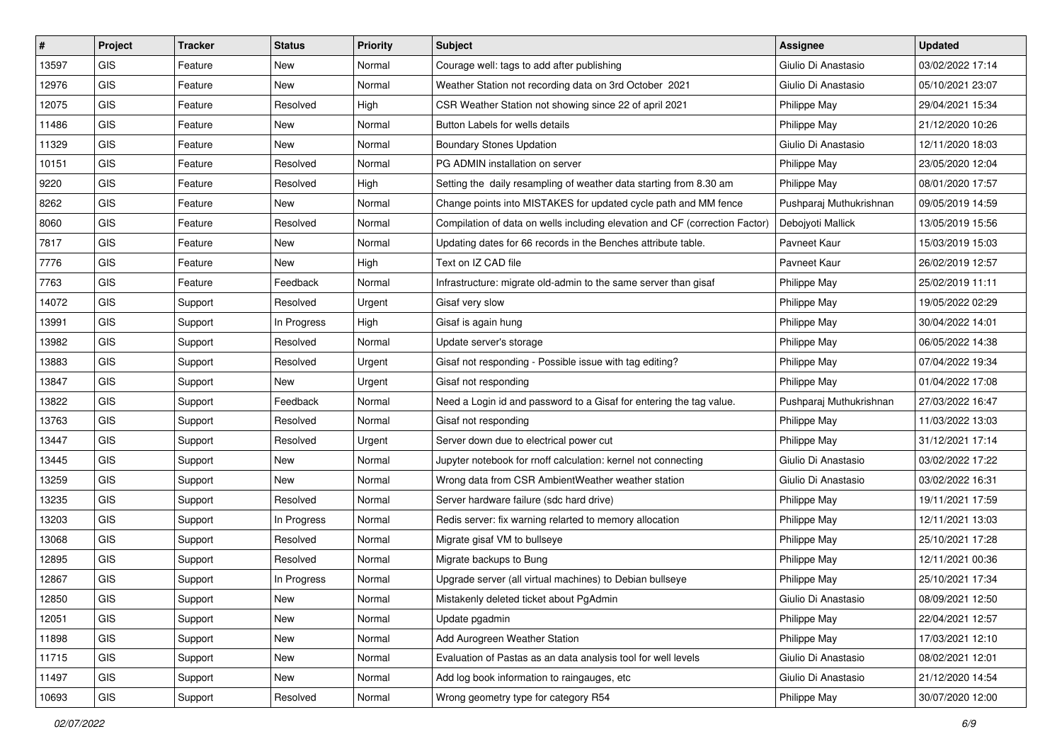| #     | Project    | <b>Tracker</b> | <b>Status</b> | <b>Priority</b> | Subject                                                                     | <b>Assignee</b>         | <b>Updated</b>   |
|-------|------------|----------------|---------------|-----------------|-----------------------------------------------------------------------------|-------------------------|------------------|
| 13597 | <b>GIS</b> | Feature        | New           | Normal          | Courage well: tags to add after publishing                                  | Giulio Di Anastasio     | 03/02/2022 17:14 |
| 12976 | <b>GIS</b> | Feature        | New           | Normal          | Weather Station not recording data on 3rd October 2021                      | Giulio Di Anastasio     | 05/10/2021 23:07 |
| 12075 | GIS        | Feature        | Resolved      | High            | CSR Weather Station not showing since 22 of april 2021                      | Philippe May            | 29/04/2021 15:34 |
| 11486 | GIS        | Feature        | New           | Normal          | Button Labels for wells details                                             | Philippe May            | 21/12/2020 10:26 |
| 11329 | <b>GIS</b> | Feature        | New           | Normal          | <b>Boundary Stones Updation</b>                                             | Giulio Di Anastasio     | 12/11/2020 18:03 |
| 10151 | <b>GIS</b> | Feature        | Resolved      | Normal          | PG ADMIN installation on server                                             | Philippe May            | 23/05/2020 12:04 |
| 9220  | GIS        | Feature        | Resolved      | High            | Setting the daily resampling of weather data starting from 8.30 am          | Philippe May            | 08/01/2020 17:57 |
| 8262  | GIS        | Feature        | New           | Normal          | Change points into MISTAKES for updated cycle path and MM fence             | Pushparaj Muthukrishnan | 09/05/2019 14:59 |
| 8060  | GIS        | Feature        | Resolved      | Normal          | Compilation of data on wells including elevation and CF (correction Factor) | Debojyoti Mallick       | 13/05/2019 15:56 |
| 7817  | GIS        | Feature        | New           | Normal          | Updating dates for 66 records in the Benches attribute table.               | Pavneet Kaur            | 15/03/2019 15:03 |
| 7776  | <b>GIS</b> | Feature        | New           | High            | Text on IZ CAD file                                                         | Pavneet Kaur            | 26/02/2019 12:57 |
| 7763  | GIS        | Feature        | Feedback      | Normal          | Infrastructure: migrate old-admin to the same server than gisaf             | Philippe May            | 25/02/2019 11:11 |
| 14072 | <b>GIS</b> | Support        | Resolved      | Urgent          | Gisaf very slow                                                             | Philippe May            | 19/05/2022 02:29 |
| 13991 | GIS        | Support        | In Progress   | High            | Gisaf is again hung                                                         | Philippe May            | 30/04/2022 14:01 |
| 13982 | <b>GIS</b> | Support        | Resolved      | Normal          | Update server's storage                                                     | Philippe May            | 06/05/2022 14:38 |
| 13883 | GIS        | Support        | Resolved      | Urgent          | Gisaf not responding - Possible issue with tag editing?                     | Philippe May            | 07/04/2022 19:34 |
| 13847 | GIS        | Support        | New           | Urgent          | Gisaf not responding                                                        | Philippe May            | 01/04/2022 17:08 |
| 13822 | <b>GIS</b> | Support        | Feedback      | Normal          | Need a Login id and password to a Gisaf for entering the tag value.         | Pushparaj Muthukrishnan | 27/03/2022 16:47 |
| 13763 | <b>GIS</b> | Support        | Resolved      | Normal          | Gisaf not responding                                                        | Philippe May            | 11/03/2022 13:03 |
| 13447 | GIS        | Support        | Resolved      | Urgent          | Server down due to electrical power cut                                     | Philippe May            | 31/12/2021 17:14 |
| 13445 | <b>GIS</b> | Support        | New           | Normal          | Jupyter notebook for rnoff calculation: kernel not connecting               | Giulio Di Anastasio     | 03/02/2022 17:22 |
| 13259 | <b>GIS</b> | Support        | New           | Normal          | Wrong data from CSR AmbientWeather weather station                          | Giulio Di Anastasio     | 03/02/2022 16:31 |
| 13235 | <b>GIS</b> | Support        | Resolved      | Normal          | Server hardware failure (sdc hard drive)                                    | Philippe May            | 19/11/2021 17:59 |
| 13203 | <b>GIS</b> | Support        | In Progress   | Normal          | Redis server: fix warning relarted to memory allocation                     | Philippe May            | 12/11/2021 13:03 |
| 13068 | GIS        | Support        | Resolved      | Normal          | Migrate gisaf VM to bullseye                                                | Philippe May            | 25/10/2021 17:28 |
| 12895 | <b>GIS</b> | Support        | Resolved      | Normal          | Migrate backups to Bung                                                     | Philippe May            | 12/11/2021 00:36 |
| 12867 | GIS        | Support        | In Progress   | Normal          | Upgrade server (all virtual machines) to Debian bullseye                    | Philippe May            | 25/10/2021 17:34 |
| 12850 | GIS        | Support        | New           | Normal          | Mistakenly deleted ticket about PgAdmin                                     | Giulio Di Anastasio     | 08/09/2021 12:50 |
| 12051 | GIS        | Support        | New           | Normal          | Update pgadmin                                                              | Philippe May            | 22/04/2021 12:57 |
| 11898 | GIS        | Support        | New           | Normal          | Add Aurogreen Weather Station                                               | Philippe May            | 17/03/2021 12:10 |
| 11715 | GIS        | Support        | New           | Normal          | Evaluation of Pastas as an data analysis tool for well levels               | Giulio Di Anastasio     | 08/02/2021 12:01 |
| 11497 | GIS        | Support        | New           | Normal          | Add log book information to raingauges, etc                                 | Giulio Di Anastasio     | 21/12/2020 14:54 |
| 10693 | GIS        | Support        | Resolved      | Normal          | Wrong geometry type for category R54                                        | Philippe May            | 30/07/2020 12:00 |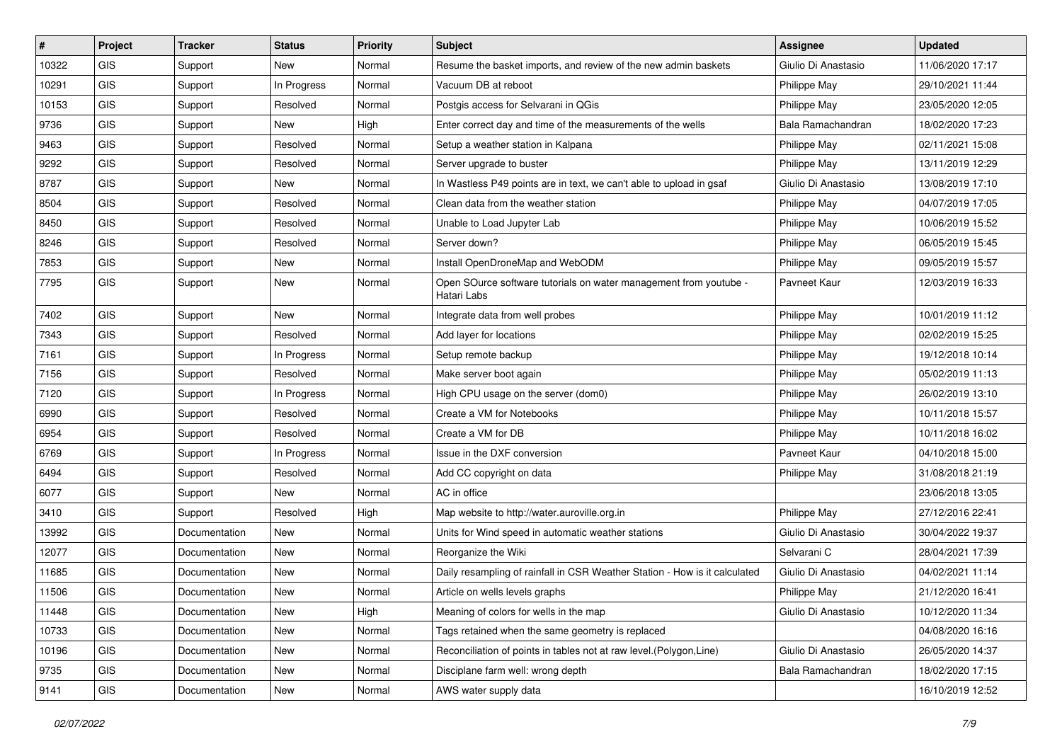| $\vert$ # | Project    | <b>Tracker</b> | <b>Status</b> | <b>Priority</b> | <b>Subject</b>                                                                   | <b>Assignee</b>     | <b>Updated</b>   |
|-----------|------------|----------------|---------------|-----------------|----------------------------------------------------------------------------------|---------------------|------------------|
| 10322     | <b>GIS</b> | Support        | New           | Normal          | Resume the basket imports, and review of the new admin baskets                   | Giulio Di Anastasio | 11/06/2020 17:17 |
| 10291     | GIS        | Support        | In Progress   | Normal          | Vacuum DB at reboot                                                              | Philippe May        | 29/10/2021 11:44 |
| 10153     | <b>GIS</b> | Support        | Resolved      | Normal          | Postgis access for Selvarani in QGis                                             | Philippe May        | 23/05/2020 12:05 |
| 9736      | <b>GIS</b> | Support        | New           | High            | Enter correct day and time of the measurements of the wells                      | Bala Ramachandran   | 18/02/2020 17:23 |
| 9463      | GIS        | Support        | Resolved      | Normal          | Setup a weather station in Kalpana                                               | Philippe May        | 02/11/2021 15:08 |
| 9292      | <b>GIS</b> | Support        | Resolved      | Normal          | Server upgrade to buster                                                         | Philippe May        | 13/11/2019 12:29 |
| 8787      | GIS        | Support        | New           | Normal          | In Wastless P49 points are in text, we can't able to upload in gsaf              | Giulio Di Anastasio | 13/08/2019 17:10 |
| 8504      | GIS        | Support        | Resolved      | Normal          | Clean data from the weather station                                              | Philippe May        | 04/07/2019 17:05 |
| 8450      | GIS        | Support        | Resolved      | Normal          | Unable to Load Jupyter Lab                                                       | Philippe May        | 10/06/2019 15:52 |
| 8246      | GIS        | Support        | Resolved      | Normal          | Server down?                                                                     | Philippe May        | 06/05/2019 15:45 |
| 7853      | GIS        | Support        | New           | Normal          | Install OpenDroneMap and WebODM                                                  | Philippe May        | 09/05/2019 15:57 |
| 7795      | <b>GIS</b> | Support        | New           | Normal          | Open SOurce software tutorials on water management from youtube -<br>Hatari Labs | Pavneet Kaur        | 12/03/2019 16:33 |
| 7402      | GIS        | Support        | New           | Normal          | Integrate data from well probes                                                  | Philippe May        | 10/01/2019 11:12 |
| 7343      | GIS        | Support        | Resolved      | Normal          | Add layer for locations                                                          | Philippe May        | 02/02/2019 15:25 |
| 7161      | <b>GIS</b> | Support        | In Progress   | Normal          | Setup remote backup                                                              | Philippe May        | 19/12/2018 10:14 |
| 7156      | GIS        | Support        | Resolved      | Normal          | Make server boot again                                                           | Philippe May        | 05/02/2019 11:13 |
| 7120      | GIS        | Support        | In Progress   | Normal          | High CPU usage on the server (dom0)                                              | Philippe May        | 26/02/2019 13:10 |
| 6990      | <b>GIS</b> | Support        | Resolved      | Normal          | Create a VM for Notebooks                                                        | Philippe May        | 10/11/2018 15:57 |
| 6954      | GIS        | Support        | Resolved      | Normal          | Create a VM for DB                                                               | Philippe May        | 10/11/2018 16:02 |
| 6769      | GIS        | Support        | In Progress   | Normal          | Issue in the DXF conversion                                                      | Pavneet Kaur        | 04/10/2018 15:00 |
| 6494      | GIS        | Support        | Resolved      | Normal          | Add CC copyright on data                                                         | Philippe May        | 31/08/2018 21:19 |
| 6077      | GIS        | Support        | New           | Normal          | AC in office                                                                     |                     | 23/06/2018 13:05 |
| 3410      | <b>GIS</b> | Support        | Resolved      | High            | Map website to http://water.auroville.org.in                                     | Philippe May        | 27/12/2016 22:41 |
| 13992     | GIS        | Documentation  | New           | Normal          | Units for Wind speed in automatic weather stations                               | Giulio Di Anastasio | 30/04/2022 19:37 |
| 12077     | <b>GIS</b> | Documentation  | <b>New</b>    | Normal          | Reorganize the Wiki                                                              | Selvarani C         | 28/04/2021 17:39 |
| 11685     | <b>GIS</b> | Documentation  | New           | Normal          | Daily resampling of rainfall in CSR Weather Station - How is it calculated       | Giulio Di Anastasio | 04/02/2021 11:14 |
| 11506     | GIS        | Documentation  | <b>New</b>    | Normal          | Article on wells levels graphs                                                   | Philippe May        | 21/12/2020 16:41 |
| 11448     | GIS        | Documentation  | New           | High            | Meaning of colors for wells in the map                                           | Giulio Di Anastasio | 10/12/2020 11:34 |
| 10733     | GIS        | Documentation  | New           | Normal          | Tags retained when the same geometry is replaced                                 |                     | 04/08/2020 16:16 |
| 10196     | GIS        | Documentation  | New           | Normal          | Reconciliation of points in tables not at raw level. (Polygon, Line)             | Giulio Di Anastasio | 26/05/2020 14:37 |
| 9735      | GIS        | Documentation  | New           | Normal          | Disciplane farm well: wrong depth                                                | Bala Ramachandran   | 18/02/2020 17:15 |
| 9141      | GIS        | Documentation  | New           | Normal          | AWS water supply data                                                            |                     | 16/10/2019 12:52 |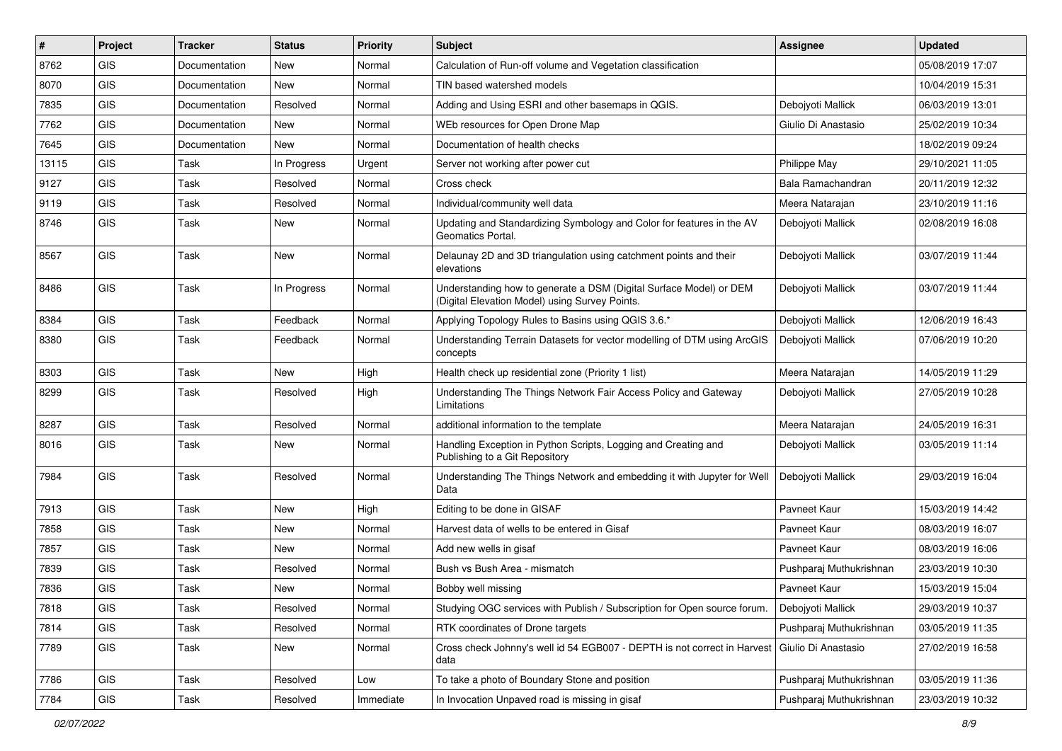| #     | Project                     | <b>Tracker</b> | <b>Status</b> | <b>Priority</b> | <b>Subject</b>                                                                                                       | <b>Assignee</b>         | <b>Updated</b>   |
|-------|-----------------------------|----------------|---------------|-----------------|----------------------------------------------------------------------------------------------------------------------|-------------------------|------------------|
| 8762  | GIS                         | Documentation  | New           | Normal          | Calculation of Run-off volume and Vegetation classification                                                          |                         | 05/08/2019 17:07 |
| 8070  | GIS                         | Documentation  | New           | Normal          | TIN based watershed models                                                                                           |                         | 10/04/2019 15:31 |
| 7835  | <b>GIS</b>                  | Documentation  | Resolved      | Normal          | Adding and Using ESRI and other basemaps in QGIS.                                                                    | Debojyoti Mallick       | 06/03/2019 13:01 |
| 7762  | GIS                         | Documentation  | <b>New</b>    | Normal          | WEb resources for Open Drone Map                                                                                     | Giulio Di Anastasio     | 25/02/2019 10:34 |
| 7645  | GIS                         | Documentation  | New           | Normal          | Documentation of health checks                                                                                       |                         | 18/02/2019 09:24 |
| 13115 | <b>GIS</b>                  | Task           | In Progress   | Urgent          | Server not working after power cut                                                                                   | Philippe May            | 29/10/2021 11:05 |
| 9127  | GIS                         | Task           | Resolved      | Normal          | Cross check                                                                                                          | Bala Ramachandran       | 20/11/2019 12:32 |
| 9119  | GIS                         | Task           | Resolved      | Normal          | Individual/community well data                                                                                       | Meera Natarajan         | 23/10/2019 11:16 |
| 8746  | GIS                         | Task           | New           | Normal          | Updating and Standardizing Symbology and Color for features in the AV<br>Geomatics Portal.                           | Debojyoti Mallick       | 02/08/2019 16:08 |
| 8567  | GIS                         | Task           | New           | Normal          | Delaunay 2D and 3D triangulation using catchment points and their<br>elevations                                      | Debojyoti Mallick       | 03/07/2019 11:44 |
| 8486  | GIS                         | Task           | In Progress   | Normal          | Understanding how to generate a DSM (Digital Surface Model) or DEM<br>(Digital Elevation Model) using Survey Points. | Deboivoti Mallick       | 03/07/2019 11:44 |
| 8384  | GIS                         | Task           | Feedback      | Normal          | Applying Topology Rules to Basins using QGIS 3.6.*                                                                   | Debojyoti Mallick       | 12/06/2019 16:43 |
| 8380  | GIS                         | Task           | Feedback      | Normal          | Understanding Terrain Datasets for vector modelling of DTM using ArcGIS<br>concepts                                  | Debojyoti Mallick       | 07/06/2019 10:20 |
| 8303  | GIS                         | <b>Task</b>    | <b>New</b>    | High            | Health check up residential zone (Priority 1 list)                                                                   | Meera Natarajan         | 14/05/2019 11:29 |
| 8299  | <b>GIS</b>                  | <b>Task</b>    | Resolved      | High            | Understanding The Things Network Fair Access Policy and Gateway<br>Limitations                                       | Debojyoti Mallick       | 27/05/2019 10:28 |
| 8287  | GIS                         | <b>Task</b>    | Resolved      | Normal          | additional information to the template                                                                               | Meera Natarajan         | 24/05/2019 16:31 |
| 8016  | GIS                         | <b>Task</b>    | New           | Normal          | Handling Exception in Python Scripts, Logging and Creating and<br>Publishing to a Git Repository                     | Debojyoti Mallick       | 03/05/2019 11:14 |
| 7984  | GIS                         | <b>Task</b>    | Resolved      | Normal          | Understanding The Things Network and embedding it with Jupyter for Well<br>Data                                      | Debojyoti Mallick       | 29/03/2019 16:04 |
| 7913  | GIS                         | <b>Task</b>    | New           | High            | Editing to be done in GISAF                                                                                          | Pavneet Kaur            | 15/03/2019 14:42 |
| 7858  | GIS                         | <b>Task</b>    | <b>New</b>    | Normal          | Harvest data of wells to be entered in Gisaf                                                                         | Pavneet Kaur            | 08/03/2019 16:07 |
| 7857  | GIS                         | <b>Task</b>    | New           | Normal          | Add new wells in gisaf                                                                                               | Pavneet Kaur            | 08/03/2019 16:06 |
| 7839  | GIS                         | <b>Task</b>    | Resolved      | Normal          | Bush vs Bush Area - mismatch                                                                                         | Pushparaj Muthukrishnan | 23/03/2019 10:30 |
| 7836  | GIS                         | Task           | New           | Normal          | Bobby well missing                                                                                                   | Pavneet Kaur            | 15/03/2019 15:04 |
| 7818  | GIS                         | Task           | Resolved      | Normal          | Studying OGC services with Publish / Subscription for Open source forum.                                             | Debojyoti Mallick       | 29/03/2019 10:37 |
| 7814  | GIS                         | Task           | Resolved      | Normal          | RTK coordinates of Drone targets                                                                                     | Pushparaj Muthukrishnan | 03/05/2019 11:35 |
| 7789  | GIS                         | Task           | New           | Normal          | Cross check Johnny's well id 54 EGB007 - DEPTH is not correct in Harvest<br>data                                     | Giulio Di Anastasio     | 27/02/2019 16:58 |
| 7786  | GIS                         | Task           | Resolved      | Low             | To take a photo of Boundary Stone and position                                                                       | Pushparaj Muthukrishnan | 03/05/2019 11:36 |
| 7784  | $\ensuremath{\mathsf{GIS}}$ | Task           | Resolved      | Immediate       | In Invocation Unpaved road is missing in gisaf                                                                       | Pushparaj Muthukrishnan | 23/03/2019 10:32 |